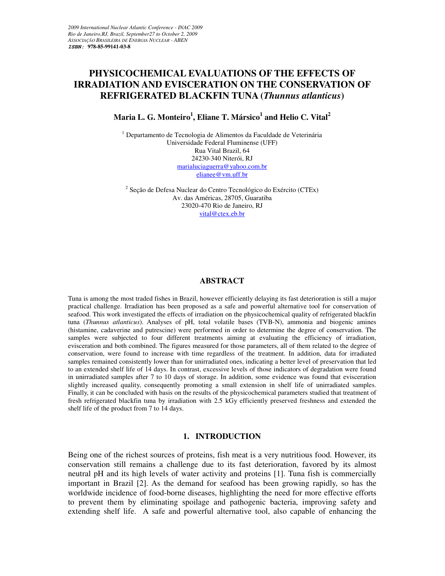# **PHYSICOCHEMICAL EVALUATIONS OF THE EFFECTS OF IRRADIATION AND EVISCERATION ON THE CONSERVATION OF REFRIGERATED BLACKFIN TUNA (***Thunnus atlanticus***)**

## **Maria L. G. Monteiro<sup>1</sup> , Eliane T. Mársico<sup>1</sup> and Helio C. Vital<sup>2</sup>**

<sup>1</sup> Departamento de Tecnologia de Alimentos da Faculdade de Veterinária Universidade Federal Fluminense (UFF) Rua Vital Brazil, 64 24230-340 Niterói, RJ marialuciaguerra@yahoo.com.br elianee@vm.uff.br

<sup>2</sup> Seção de Defesa Nuclear do Centro Tecnológico do Exército (CTEx) Av. das Américas, 28705, Guaratiba 23020-470 Rio de Janeiro, RJ vital@ctex.eb.br

#### **ABSTRACT**

Tuna is among the most traded fishes in Brazil, however efficiently delaying its fast deterioration is still a major practical challenge. Irradiation has been proposed as a safe and powerful alternative tool for conservation of seafood. This work investigated the effects of irradiation on the physicochemical quality of refrigerated blackfin tuna (*Thunnus atlanticus*). Analyses of pH, total volatile bases (TVB-N), ammonia and biogenic amines (histamine, cadaverine and putrescine) were performed in order to determine the degree of conservation. The samples were subjected to four different treatments aiming at evaluating the efficiency of irradiation, evisceration and both combined. The figures measured for those parameters, all of them related to the degree of conservation, were found to increase with time regardless of the treatment. In addition, data for irradiated samples remained consistently lower than for unirradiated ones, indicating a better level of preservation that led to an extended shelf life of 14 days. In contrast, excessive levels of those indicators of degradation were found in unirradiated samples after 7 to 10 days of storage. In addition, some evidence was found that evisceration slightly increased quality, consequently promoting a small extension in shelf life of unirradiated samples. Finally, it can be concluded with basis on the results of the physicochemical parameters studied that treatment of fresh refrigerated blackfin tuna by irradiation with 2.5 kGy efficiently preserved freshness and extended the shelf life of the product from 7 to 14 days.

#### **1. INTRODUCTION**

Being one of the richest sources of proteins, fish meat is a very nutritious food. However, its conservation still remains a challenge due to its fast deterioration, favored by its almost neutral pH and its high levels of water activity and proteins [1]. Tuna fish is commercially important in Brazil [2]. As the demand for seafood has been growing rapidly, so has the worldwide incidence of food-borne diseases, highlighting the need for more effective efforts to prevent them by eliminating spoilage and pathogenic bacteria, improving safety and extending shelf life. A safe and powerful alternative tool, also capable of enhancing the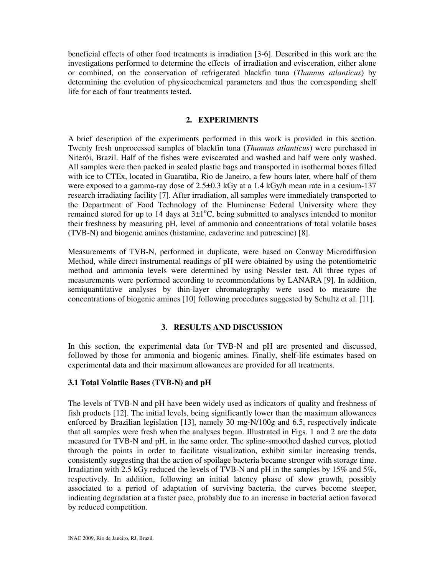beneficial effects of other food treatments is irradiation [3-6]. Described in this work are the investigations performed to determine the effects of irradiation and evisceration, either alone or combined, on the conservation of refrigerated blackfin tuna (*Thunnus atlanticus*) by determining the evolution of physicochemical parameters and thus the corresponding shelf life for each of four treatments tested.

## **2. EXPERIMENTS**

A brief description of the experiments performed in this work is provided in this section. Twenty fresh unprocessed samples of blackfin tuna (*Thunnus atlanticus*) were purchased in Niterói, Brazil. Half of the fishes were eviscerated and washed and half were only washed. All samples were then packed in sealed plastic bags and transported in isothermal boxes filled with ice to CTEx, located in Guaratiba, Rio de Janeiro, a few hours later, where half of them were exposed to a gamma-ray dose of 2.5±0.3 kGy at a 1.4 kGy/h mean rate in a cesium-137 research irradiating facility [7]. After irradiation, all samples were immediately transported to the Department of Food Technology of the Fluminense Federal University where they remained stored for up to 14 days at  $3\pm1^{\circ}$ C, being submitted to analyses intended to monitor their freshness by measuring pH, level of ammonia and concentrations of total volatile bases (TVB-N) and biogenic amines (histamine, cadaverine and putrescine) [8].

Measurements of TVB-N, performed in duplicate, were based on Conway Microdiffusion Method, while direct instrumental readings of pH were obtained by using the potentiometric method and ammonia levels were determined by using Nessler test. All three types of measurements were performed according to recommendations by LANARA [9]. In addition, semiquantitative analyses by thin-layer chromatography were used to measure the concentrations of biogenic amines [10] following procedures suggested by Schultz et al. [11].

### **3. RESULTS AND DISCUSSION**

In this section, the experimental data for TVB-N and pH are presented and discussed, followed by those for ammonia and biogenic amines. Finally, shelf-life estimates based on experimental data and their maximum allowances are provided for all treatments.

### **3.1 Total Volatile Bases (TVB-N) and pH**

The levels of TVB-N and pH have been widely used as indicators of quality and freshness of fish products [12]. The initial levels, being significantly lower than the maximum allowances enforced by Brazilian legislation [13], namely 30 mg-N/100g and 6.5, respectively indicate that all samples were fresh when the analyses began. Illustrated in Figs. 1 and 2 are the data measured for TVB-N and pH, in the same order. The spline-smoothed dashed curves, plotted through the points in order to facilitate visualization, exhibit similar increasing trends, consistently suggesting that the action of spoilage bacteria became stronger with storage time. Irradiation with 2.5 kGy reduced the levels of TVB-N and pH in the samples by 15% and 5%, respectively. In addition, following an initial latency phase of slow growth, possibly associated to a period of adaptation of surviving bacteria, the curves become steeper, indicating degradation at a faster pace, probably due to an increase in bacterial action favored by reduced competition.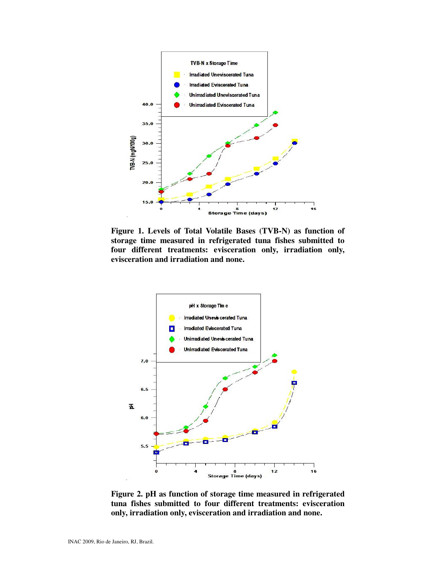

**Figure 1. Levels of Total Volatile Bases (TVB-N) as function of storage time measured in refrigerated tuna fishes submitted to four different treatments: evisceration only, irradiation only, evisceration and irradiation and none.** 



**Figure 2. pH as function of storage time measured in refrigerated tuna fishes submitted to four different treatments: evisceration only, irradiation only, evisceration and irradiation and none.**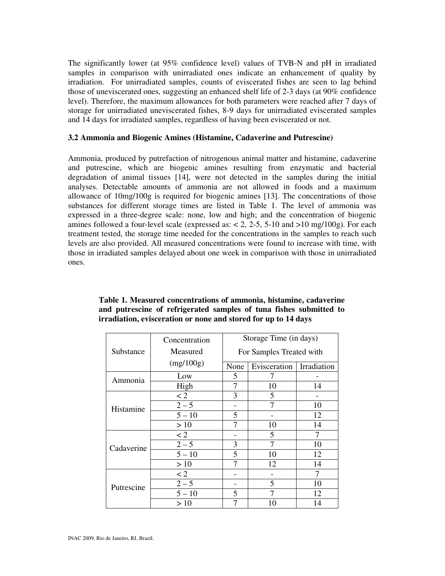The significantly lower (at 95% confidence level) values of TVB-N and pH in irradiated samples in comparison with unirradiated ones indicate an enhancement of quality by irradiation. For unirradiated samples, counts of eviscerated fishes are seen to lag behind those of uneviscerated ones, suggesting an enhanced shelf life of 2-3 days (at 90% confidence level). Therefore, the maximum allowances for both parameters were reached after 7 days of storage for unirradiated uneviscerated fishes, 8-9 days for unirradiated eviscerated samples and 14 days for irradiated samples, regardless of having been eviscerated or not.

#### **3.2 Ammonia and Biogenic Amines (Histamine, Cadaverine and Putrescine)**

Ammonia, produced by putrefaction of nitrogenous animal matter and histamine, cadaverine and putrescine, which are biogenic amines resulting from enzymatic and bacterial degradation of animal tissues [14], were not detected in the samples during the initial analyses. Detectable amounts of ammonia are not allowed in foods and a maximum allowance of 10mg/100g is required for biogenic amines [13]. The concentrations of those substances for different storage times are listed in Table 1. The level of ammonia was expressed in a three-degree scale: none, low and high; and the concentration of biogenic amines followed a four-level scale (expressed as:  $< 2$ , 2-5, 5-10 and  $>10$  mg/100g). For each treatment tested, the storage time needed for the concentrations in the samples to reach such levels are also provided. All measured concentrations were found to increase with time, with those in irradiated samples delayed about one week in comparison with those in unirradiated ones.

|            | Concentration | Storage Time (in days)<br>For Samples Treated with |              |             |  |  |
|------------|---------------|----------------------------------------------------|--------------|-------------|--|--|
| Substance  | Measured      |                                                    |              |             |  |  |
|            | (mg/100g)     | None                                               | Evisceration | Irradiation |  |  |
| Ammonia    | Low           | 5                                                  |              |             |  |  |
|            | High          | 7                                                  | 10           | 14          |  |  |
| Histamine  | $\lt 2$       | 3                                                  | 5            |             |  |  |
|            | $2 - 5$       |                                                    |              | 10          |  |  |
|            | $5 - 10$      | 5                                                  |              | 12          |  |  |
|            | >10           | 7                                                  | 10           | 14          |  |  |
| Cadaverine | $\lt 2$       |                                                    | 5            | 7           |  |  |
|            | $2 - 5$       | 3                                                  | 7            | 10          |  |  |
|            | $5 - 10$      | 5                                                  | 10           | 12          |  |  |
|            | >10           | 7                                                  | 12           | 14          |  |  |
| Putrescine | $\lt 2$       |                                                    |              | 7           |  |  |
|            | $2 - 5$       |                                                    | 5            | 10          |  |  |
|            | $5 - 10$      | 5                                                  | 7            | 12          |  |  |
|            | >10           | 7                                                  | 10           | 14          |  |  |

|                                                                |  |  | Table 1. Measured concentrations of ammonia, histamine, cadaverine  |  |  |  |  |  |
|----------------------------------------------------------------|--|--|---------------------------------------------------------------------|--|--|--|--|--|
|                                                                |  |  | and put rescine of refrigerated samples of tuna fishes submitted to |  |  |  |  |  |
| irradiation, evisceration or none and stored for up to 14 days |  |  |                                                                     |  |  |  |  |  |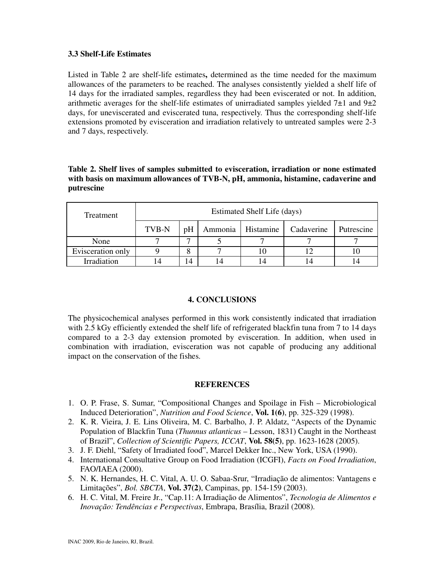### **3.3 Shelf-Life Estimates**

Listed in Table 2 are shelf-life estimates**,** determined as the time needed for the maximum allowances of the parameters to be reached. The analyses consistently yielded a shelf life of 14 days for the irradiated samples, regardless they had been eviscerated or not. In addition, arithmetic averages for the shelf-life estimates of unirradiated samples yielded  $7\pm1$  and  $9\pm2$ days, for uneviscerated and eviscerated tuna, respectively. Thus the corresponding shelf-life extensions promoted by evisceration and irradiation relatively to untreated samples were 2-3 and 7 days, respectively.

**Table 2. Shelf lives of samples submitted to evisceration, irradiation or none estimated with basis on maximum allowances of TVB-N, pH, ammonia, histamine, cadaverine and putrescine** 

| Treatment         | Estimated Shelf Life (days) |    |         |           |            |            |  |
|-------------------|-----------------------------|----|---------|-----------|------------|------------|--|
|                   | TVB-N                       | pH | Ammonia | Histamine | Cadaverine | Putrescine |  |
| None              |                             |    |         |           |            |            |  |
| Evisceration only |                             |    |         |           |            |            |  |
| Irradiation       |                             | 4  |         |           |            |            |  |

## **4. CONCLUSIONS**

The physicochemical analyses performed in this work consistently indicated that irradiation with 2.5 kGy efficiently extended the shelf life of refrigerated blackfin tuna from 7 to 14 days compared to a 2-3 day extension promoted by evisceration. In addition, when used in combination with irradiation, evisceration was not capable of producing any additional impact on the conservation of the fishes.

### **REFERENCES**

- 1. O. P. Frase, S. Sumar, "Compositional Changes and Spoilage in Fish Microbiological Induced Deterioration", *Nutrition and Food Science*, **Vol. 1(6)**, pp. 325-329 (1998).
- 2. K. R. Vieira, J. E. Lins Oliveira, M. C. Barbalho, J. P. Aldatz, "Aspects of the Dynamic Population of Blackfin Tuna (*Thunnus atlanticus* – Lesson, 1831) Caught in the Northeast of Brazil", *Collection of Scientific Papers, ICCAT*, **Vol. 58(5)**, pp. 1623-1628 (2005).
- 3. J. F. Diehl, "Safety of Irradiated food", Marcel Dekker Inc., New York, USA (1990).
- 4. International Consultative Group on Food Irradiation (ICGFI), *Facts on Food Irradiation*, FAO/IAEA (2000).
- 5. N. K. Hernandes, H. C. Vital, A. U. O. Sabaa-Srur, "Irradiação de alimentos: Vantagens e Limitações", *Bol. SBCTA*, **Vol. 37(2)**, Campinas, pp. 154-159 (2003).
- 6. H. C. Vital, M. Freire Jr., "Cap.11: A Irradiação de Alimentos", *Tecnologia de Alimentos e Inovação: Tendências e Perspectivas*, Embrapa, Brasília, Brazil (2008).